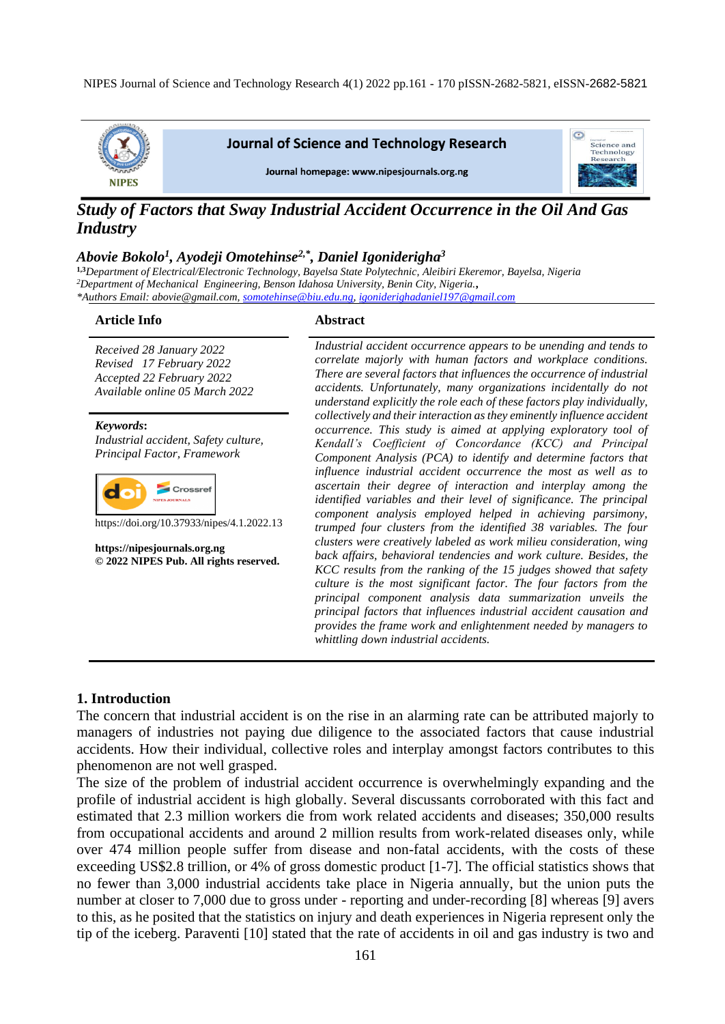NIPES Journal of Science and Technology Research 4(1) 2022 pp.161 - 170 pISSN-2682-5821, eISSN-2682-5821



**Journal of Science and Technology Research** 

Journal homepage: www.nipesjournals.org.ng



# *Study of Factors that Sway Industrial Accident Occurrence in the Oil And Gas Industry*

#### *Abovie Bokolo<sup>1</sup> , Ayodeji Omotehinse2,\*, Daniel Igoniderigha<sup>3</sup>*

**1,3***Department of Electrical/Electronic Technology, Bayelsa State Polytechnic, Aleibiri Ekeremor, Bayelsa, Nigeria <sup>2</sup>Department of Mechanical Engineering, Benson Idahosa University, Benin City, Nigeria.***,** *\*Authors Email: abovie@gmail.com[, somotehinse@biu.edu.ng,](mailto:somotehinse@biu.edu.ng) [igoniderighadaniel197@gmail.com](mailto:igoniderighadaniel197@gmail.com)*

#### **Article Info Abstract**

*Received 28 January 2022 Revised 17 February 2022 Accepted 22 February 2022 Available online 05 March 2022*

*Keywords***:** *Industrial accident, Safety culture, Principal Factor, Framework*



https://doi.org/10.37933/nipes/4.1.2022.13

**https://nipesjournals.org.ng © 2022 NIPES Pub. All rights reserved.** *Industrial accident occurrence appears to be unending and tends to correlate majorly with human factors and workplace conditions. There are several factors that influences the occurrence of industrial accidents. Unfortunately, many organizations incidentally do not understand explicitly the role each of these factors play individually, collectively and their interaction as they eminently influence accident occurrence. This study is aimed at applying exploratory tool of Kendall's Coefficient of Concordance (KCC) and Principal Component Analysis (PCA) to identify and determine factors that influence industrial accident occurrence the most as well as to ascertain their degree of interaction and interplay among the identified variables and their level of significance. The principal component analysis employed helped in achieving parsimony, trumped four clusters from the identified 38 variables. The four clusters were creatively labeled as work milieu consideration, wing back affairs, behavioral tendencies and work culture. Besides, the KCC results from the ranking of the 15 judges showed that safety culture is the most significant factor. The four factors from the principal component analysis data summarization unveils the principal factors that influences industrial accident causation and provides the frame work and enlightenment needed by managers to whittling down industrial accidents.*

#### **1. Introduction**

The concern that industrial accident is on the rise in an alarming rate can be attributed majorly to managers of industries not paying due diligence to the associated factors that cause industrial accidents. How their individual, collective roles and interplay amongst factors contributes to this phenomenon are not well grasped.

The size of the problem of industrial accident occurrence is overwhelmingly expanding and the profile of industrial accident is high globally. Several discussants corroborated with this fact and estimated that 2.3 million workers die from work related accidents and diseases; 350,000 results from occupational accidents and around 2 million results from work-related diseases only, while over 474 million people suffer from disease and non-fatal accidents, with the costs of these exceeding US\$2.8 trillion, or 4% of gross domestic product [1-7]. The official statistics shows that no fewer than 3,000 industrial accidents take place in Nigeria annually, but the union puts the number at closer to 7,000 due to gross under - reporting and under-recording [8] whereas [9] avers to this, as he posited that the statistics on injury and death experiences in Nigeria represent only the tip of the iceberg. Paraventi [10] stated that the rate of accidents in oil and gas industry is two and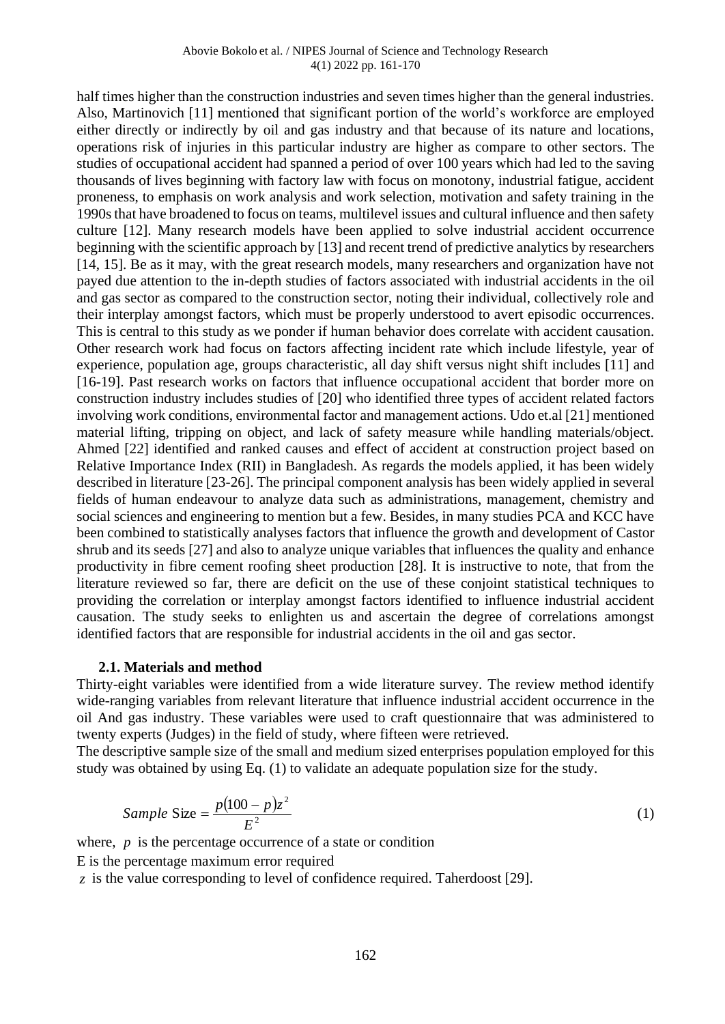half times higher than the construction industries and seven times higher than the general industries. Also, Martinovich [11] mentioned that significant portion of the world's workforce are employed either directly or indirectly by oil and gas industry and that because of its nature and locations, operations risk of injuries in this particular industry are higher as compare to other sectors. The studies of occupational accident had spanned a period of over 100 years which had led to the saving thousands of lives beginning with factory law with focus on monotony, industrial fatigue, accident proneness, to emphasis on work analysis and work selection, motivation and safety training in the 1990s that have broadened to focus on teams, multilevel issues and cultural influence and then safety culture [12]. Many research models have been applied to solve industrial accident occurrence beginning with the scientific approach by [13] and recent trend of predictive analytics by researchers [14, 15]. Be as it may, with the great research models, many researchers and organization have not payed due attention to the in-depth studies of factors associated with industrial accidents in the oil and gas sector as compared to the construction sector, noting their individual, collectively role and their interplay amongst factors, which must be properly understood to avert episodic occurrences. This is central to this study as we ponder if human behavior does correlate with accident causation. Other research work had focus on factors affecting incident rate which include lifestyle, year of experience, population age, groups characteristic, all day shift versus night shift includes [11] and [16-19]. Past research works on factors that influence occupational accident that border more on construction industry includes studies of [20] who identified three types of accident related factors involving work conditions, environmental factor and management actions. Udo et.al [21] mentioned material lifting, tripping on object, and lack of safety measure while handling materials/object. Ahmed [22] identified and ranked causes and effect of accident at construction project based on Relative Importance Index (RII) in Bangladesh. As regards the models applied, it has been widely described in literature [23-26]. The principal component analysis has been widely applied in several fields of human endeavour to analyze data such as administrations, management, chemistry and social sciences and engineering to mention but a few. Besides, in many studies PCA and KCC have been combined to statistically analyses factors that influence the growth and development of Castor shrub and its seeds [27] and also to analyze unique variables that influences the quality and enhance productivity in fibre cement roofing sheet production [28]. It is instructive to note, that from the literature reviewed so far, there are deficit on the use of these conjoint statistical techniques to providing the correlation or interplay amongst factors identified to influence industrial accident causation. The study seeks to enlighten us and ascertain the degree of correlations amongst identified factors that are responsible for industrial accidents in the oil and gas sector.

#### **2.1. Materials and method**

Thirty-eight variables were identified from a wide literature survey. The review method identify wide-ranging variables from relevant literature that influence industrial accident occurrence in the oil And gas industry. These variables were used to craft questionnaire that was administered to twenty experts (Judges) in the field of study, where fifteen were retrieved.

The descriptive sample size of the small and medium sized enterprises population employed for this study was obtained by using Eq. (1) to validate an adequate population size for the study.

Sample Size = 
$$
\frac{p(100 - p)z^2}{E^2}
$$
 (1)

where,  $p$  is the percentage occurrence of a state or condition

E is the percentage maximum error required

*z* is the value corresponding to level of confidence required. Taherdoost [29].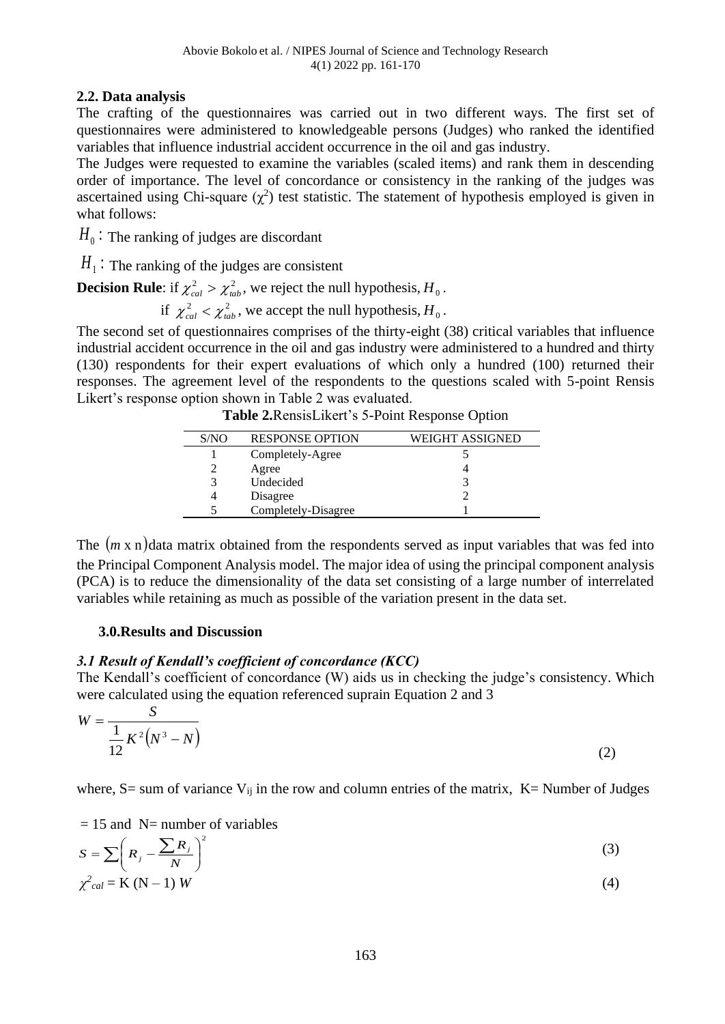### **2.2. Data analysis**

The crafting of the questionnaires was carried out in two different ways. The first set of questionnaires were administered to knowledgeable persons (Judges) who ranked the identified variables that influence industrial accident occurrence in the oil and gas industry.

The Judges were requested to examine the variables (scaled items) and rank them in descending order of importance. The level of concordance or consistency in the ranking of the judges was ascertained using Chi-square  $(\chi^2)$  test statistic. The statement of hypothesis employed is given in what follows:

 $H_{_0}$  : The ranking of judges are discordant

 $H_1$ : The ranking of the judges are consistent

**Decision Rule**: if  $\chi^2_{cal} > \chi^2_{tab}$ , we reject the null hypothesis,  $H_0$ .

if  $\chi^2_{cal} < \chi^2_{lab}$ , we accept the null hypothesis,  $H_0$ .

The second set of questionnaires comprises of the thirty-eight (38) critical variables that influence industrial accident occurrence in the oil and gas industry were administered to a hundred and thirty (130) respondents for their expert evaluations of which only a hundred (100) returned their responses. The agreement level of the respondents to the questions scaled with 5-point Rensis Likert's response option shown in Table 2 was evaluated.

| Table 2. RensisLikert's 5-Point Response Option |  |
|-------------------------------------------------|--|
|-------------------------------------------------|--|

| S/NO | <b>RESPONSE OPTION</b> | WEIGHT ASSIGNED |
|------|------------------------|-----------------|
|      | Completely-Agree       |                 |
|      | Agree                  |                 |
|      | Undecided              |                 |
|      | Disagree               |                 |
|      | Completely-Disagree    |                 |

The (*m* x n) data matrix obtained from the respondents served as input variables that was fed into the Principal Component Analysis model. The major idea of using the principal component analysis (PCA) is to reduce the dimensionality of the data set consisting of a large number of interrelated variables while retaining as much as possible of the variation present in the data set.

#### **3.0.Results and Discussion**

## *3.1 Result of Kendall's coefficient of concordance (KCC)*

The Kendall's coefficient of concordance (W) aids us in checking the judge's consistency. Which were calculated using the equation referenced suprain Equation 2 and 3

$$
W = \frac{S}{\frac{1}{12}K^2(N^3 - N)}
$$
 (2)

where, S= sum of variance  $V_{ij}$  in the row and column entries of the matrix, K= Number of Judges

 $= 15$  and N= number of variables

$$
S = \sum \left( R_j - \frac{\sum R_j}{N} \right)^2 \tag{3}
$$

$$
\chi^2_{cal} = K (N-1) W \tag{4}
$$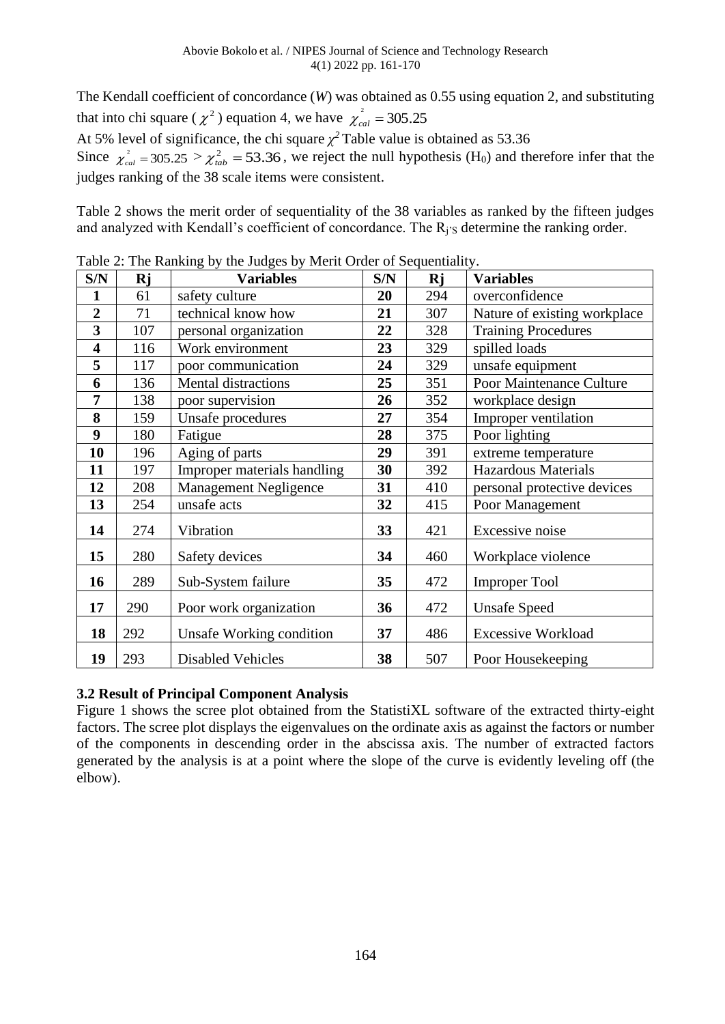The Kendall coefficient of concordance (*W*) was obtained as 0.55 using equation 2, and substituting that into chi square ( $\chi^2$ ) equation 4, we have  $\chi^2_{cal} = 305.25$ At 5% level of significance, the chi square  $\chi^2$  Table value is obtained as 53.36 Since  $\chi^2_{cal} = 305.25 > \chi^2_{tab} = 53.36$ , we reject the null hypothesis (H<sub>0</sub>) and therefore infer that the judges ranking of the 38 scale items were consistent.

Table 2 shows the merit order of sequentiality of the 38 variables as ranked by the fifteen judges and analyzed with Kendall's coefficient of concordance. The R<sub>j'S</sub> determine the ranking order.

| S/N                     | Rj  | Fable 2. The Kanking by the Judges by Metri Order of Sequentiality.<br><b>Variables</b> | S/N | Rj  | <b>Variables</b>             |
|-------------------------|-----|-----------------------------------------------------------------------------------------|-----|-----|------------------------------|
| $\mathbf{1}$            | 61  | safety culture                                                                          | 20  | 294 | overconfidence               |
| $\overline{2}$          | 71  | technical know how                                                                      | 21  | 307 | Nature of existing workplace |
| $\overline{\mathbf{3}}$ | 107 | personal organization                                                                   | 22  | 328 | <b>Training Procedures</b>   |
| $\overline{\mathbf{4}}$ | 116 | Work environment                                                                        | 23  | 329 | spilled loads                |
| 5                       | 117 | poor communication                                                                      | 24  | 329 | unsafe equipment             |
| 6                       | 136 | Mental distractions                                                                     | 25  | 351 | Poor Maintenance Culture     |
| 7                       | 138 | poor supervision                                                                        | 26  | 352 | workplace design             |
| 8                       | 159 | Unsafe procedures                                                                       | 27  | 354 | Improper ventilation         |
| 9                       | 180 | Fatigue                                                                                 | 28  | 375 | Poor lighting                |
| 10                      | 196 | Aging of parts                                                                          | 29  | 391 | extreme temperature          |
| 11                      | 197 | Improper materials handling                                                             | 30  | 392 | <b>Hazardous Materials</b>   |
| 12                      | 208 | <b>Management Negligence</b>                                                            | 31  | 410 | personal protective devices  |
| 13                      | 254 | unsafe acts                                                                             | 32  | 415 | Poor Management              |
| 14                      | 274 | Vibration                                                                               | 33  | 421 | Excessive noise              |
| 15                      | 280 | Safety devices                                                                          | 34  | 460 | Workplace violence           |
| 16                      | 289 | Sub-System failure                                                                      | 35  | 472 | <b>Improper Tool</b>         |
| 17                      | 290 | Poor work organization                                                                  | 36  | 472 | <b>Unsafe Speed</b>          |
| 18                      | 292 | Unsafe Working condition                                                                | 37  | 486 | <b>Excessive Workload</b>    |
| 19                      | 293 | <b>Disabled Vehicles</b>                                                                | 38  | 507 | Poor Housekeeping            |

Table 2: The Ranking by the Judges by Merit Order of Sequentiality.

#### **3.2 Result of Principal Component Analysis**

Figure 1 shows the scree plot obtained from the StatistiXL software of the extracted thirty-eight factors. The scree plot displays the eigenvalues on the ordinate axis as against the factors or number of the components in descending order in the abscissa axis. The number of extracted factors generated by the analysis is at a point where the slope of the curve is evidently leveling off (the elbow).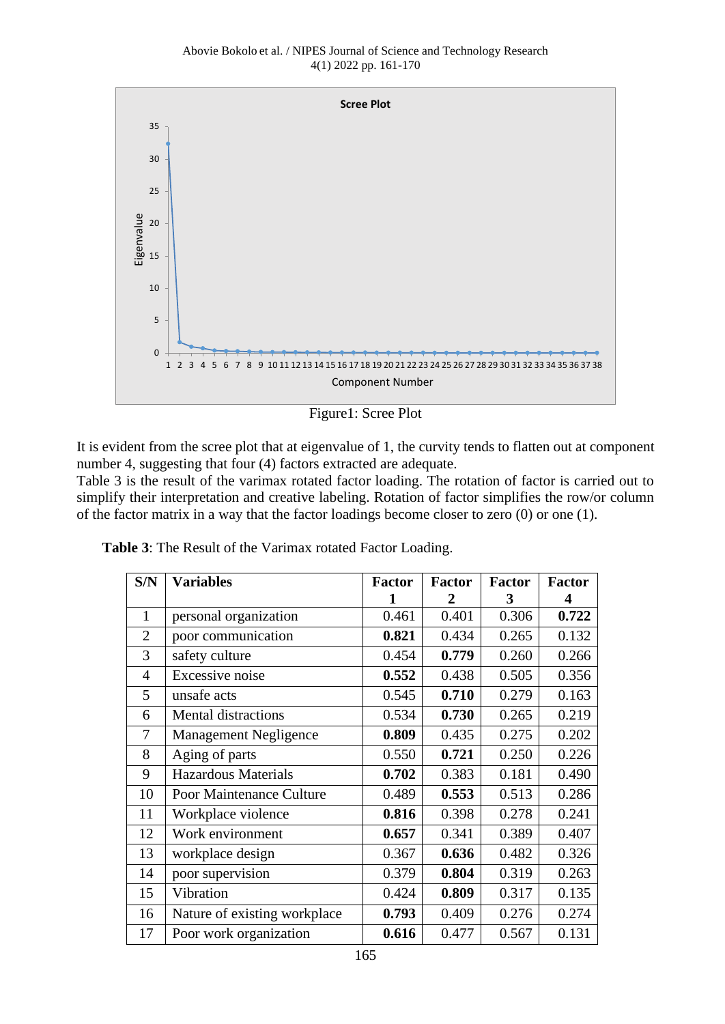

Figure1: Scree Plot

It is evident from the scree plot that at eigenvalue of 1, the curvity tends to flatten out at component number 4, suggesting that four (4) factors extracted are adequate.

Table 3 is the result of the varimax rotated factor loading. The rotation of factor is carried out to simplify their interpretation and creative labeling. Rotation of factor simplifies the row/or column of the factor matrix in a way that the factor loadings become closer to zero (0) or one (1).

| S/N            | <b>Variables</b>             | <b>Factor</b> | Factor | <b>Factor</b> | <b>Factor</b> |
|----------------|------------------------------|---------------|--------|---------------|---------------|
|                |                              | 1             | 2      | 3             |               |
| $\mathbf{1}$   | personal organization        | 0.461         | 0.401  | 0.306         | 0.722         |
| $\overline{2}$ | poor communication           | 0.821         | 0.434  | 0.265         | 0.132         |
| 3              | safety culture               | 0.454         | 0.779  | 0.260         | 0.266         |
| $\overline{4}$ | Excessive noise              | 0.552         | 0.438  | 0.505         | 0.356         |
| 5              | unsafe acts                  | 0.545         | 0.710  | 0.279         | 0.163         |
| 6              | Mental distractions          | 0.534         | 0.730  | 0.265         | 0.219         |
| 7              | <b>Management Negligence</b> | 0.809         | 0.435  | 0.275         | 0.202         |
| 8              | Aging of parts               | 0.550         | 0.721  | 0.250         | 0.226         |
| 9              | <b>Hazardous Materials</b>   | 0.702         | 0.383  | 0.181         | 0.490         |
| 10             | Poor Maintenance Culture     | 0.489         | 0.553  | 0.513         | 0.286         |
| 11             | Workplace violence           | 0.816         | 0.398  | 0.278         | 0.241         |
| 12             | Work environment             | 0.657         | 0.341  | 0.389         | 0.407         |
| 13             | workplace design             | 0.367         | 0.636  | 0.482         | 0.326         |
| 14             | poor supervision             | 0.379         | 0.804  | 0.319         | 0.263         |
| 15             | Vibration                    | 0.424         | 0.809  | 0.317         | 0.135         |
| 16             | Nature of existing workplace | 0.793         | 0.409  | 0.276         | 0.274         |
| 17             | Poor work organization       | 0.616         | 0.477  | 0.567         | 0.131         |

 **Table 3**: The Result of the Varimax rotated Factor Loading.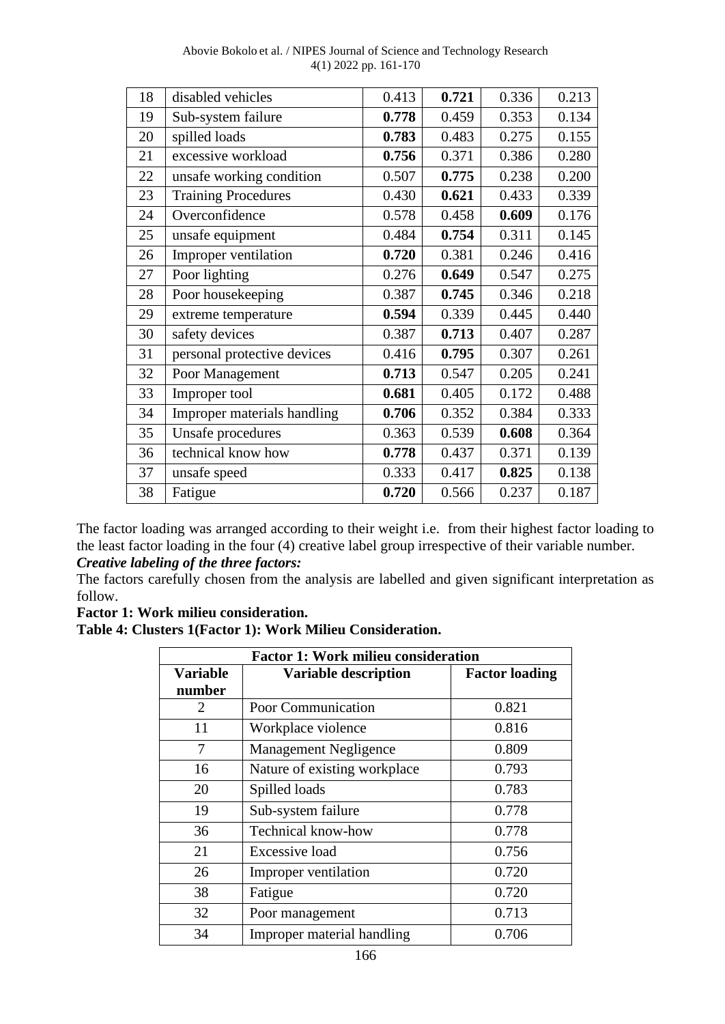| Abovie Bokolo et al. / NIPES Journal of Science and Technology Research |  |
|-------------------------------------------------------------------------|--|
| $4(1)$ 2022 pp. 161-170                                                 |  |

| 18 | disabled vehicles           | 0.413 | 0.721 | 0.336 | 0.213 |
|----|-----------------------------|-------|-------|-------|-------|
| 19 | Sub-system failure          | 0.778 | 0.459 | 0.353 | 0.134 |
| 20 | spilled loads               | 0.783 | 0.483 | 0.275 | 0.155 |
| 21 | excessive workload          | 0.756 | 0.371 | 0.386 | 0.280 |
| 22 | unsafe working condition    | 0.507 | 0.775 | 0.238 | 0.200 |
| 23 | <b>Training Procedures</b>  | 0.430 | 0.621 | 0.433 | 0.339 |
| 24 | Overconfidence              | 0.578 | 0.458 | 0.609 | 0.176 |
| 25 | unsafe equipment            | 0.484 | 0.754 | 0.311 | 0.145 |
| 26 | Improper ventilation        | 0.720 | 0.381 | 0.246 | 0.416 |
| 27 | Poor lighting               | 0.276 | 0.649 | 0.547 | 0.275 |
| 28 | Poor housekeeping           | 0.387 | 0.745 | 0.346 | 0.218 |
| 29 | extreme temperature         | 0.594 | 0.339 | 0.445 | 0.440 |
| 30 | safety devices              | 0.387 | 0.713 | 0.407 | 0.287 |
| 31 | personal protective devices | 0.416 | 0.795 | 0.307 | 0.261 |
| 32 | Poor Management             | 0.713 | 0.547 | 0.205 | 0.241 |
| 33 | Improper tool               | 0.681 | 0.405 | 0.172 | 0.488 |
| 34 | Improper materials handling | 0.706 | 0.352 | 0.384 | 0.333 |
| 35 | Unsafe procedures           | 0.363 | 0.539 | 0.608 | 0.364 |
| 36 | technical know how          | 0.778 | 0.437 | 0.371 | 0.139 |
| 37 | unsafe speed                | 0.333 | 0.417 | 0.825 | 0.138 |
| 38 | Fatigue                     | 0.720 | 0.566 | 0.237 | 0.187 |

The factor loading was arranged according to their weight i.e. from their highest factor loading to the least factor loading in the four (4) creative label group irrespective of their variable number. *Creative labeling of the three factors:*

The factors carefully chosen from the analysis are labelled and given significant interpretation as follow.

#### **Factor 1: Work milieu consideration.**

**Table 4: Clusters 1(Factor 1): Work Milieu Consideration.**

| <b>Factor 1: Work milieu consideration</b> |                              |                       |  |  |
|--------------------------------------------|------------------------------|-----------------------|--|--|
| <b>Variable</b><br>number                  | <b>Variable description</b>  | <b>Factor loading</b> |  |  |
| 2                                          | <b>Poor Communication</b>    | 0.821                 |  |  |
| 11                                         | Workplace violence           | 0.816                 |  |  |
| 7                                          | <b>Management Negligence</b> | 0.809                 |  |  |
| 16                                         | Nature of existing workplace | 0.793                 |  |  |
| 20                                         | Spilled loads                | 0.783                 |  |  |
| 19                                         | Sub-system failure           | 0.778                 |  |  |
| 36                                         | <b>Technical know-how</b>    | 0.778                 |  |  |
| 21                                         | Excessive load               | 0.756                 |  |  |
| 26                                         | Improper ventilation         | 0.720                 |  |  |
| 38                                         | Fatigue                      | 0.720                 |  |  |
| 32                                         | Poor management              | 0.713                 |  |  |
| 34                                         | Improper material handling   | 0.706                 |  |  |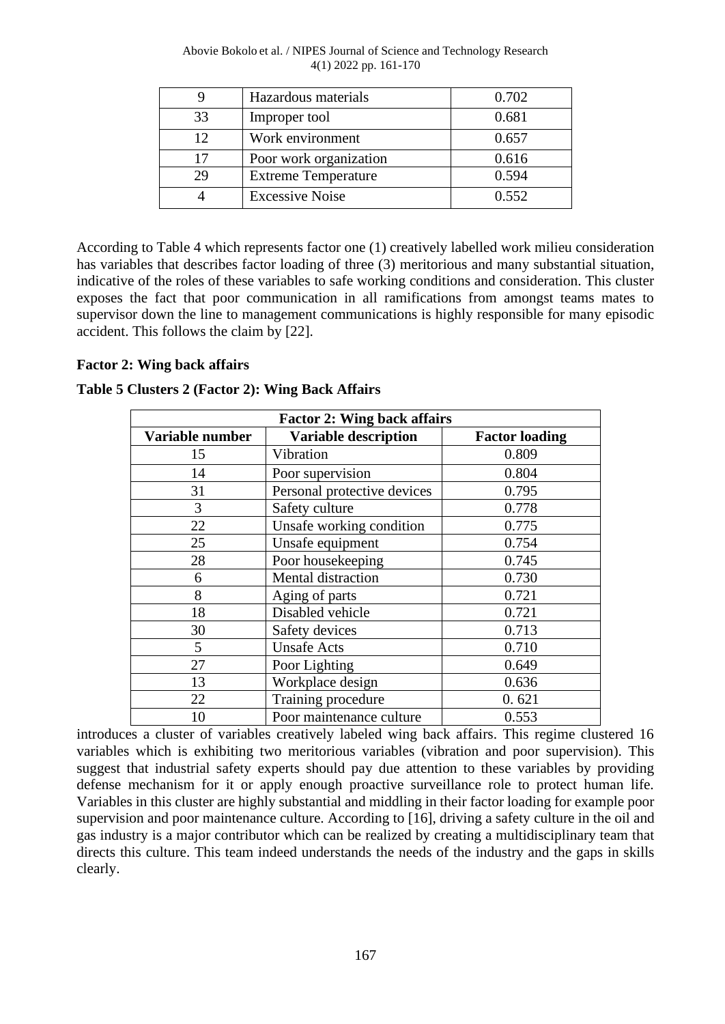| Abovie Bokolo et al. / NIPES Journal of Science and Technology Research |  |
|-------------------------------------------------------------------------|--|
| $4(1)$ 2022 pp. 161-170                                                 |  |

|    | Hazardous materials        | 0.702 |
|----|----------------------------|-------|
| 33 | Improper tool              | 0.681 |
| 12 | Work environment           | 0.657 |
| 17 | Poor work organization     | 0.616 |
| 29 | <b>Extreme Temperature</b> | 0.594 |
|    | <b>Excessive Noise</b>     | 0.552 |

According to Table 4 which represents factor one (1) creatively labelled work milieu consideration has variables that describes factor loading of three (3) meritorious and many substantial situation, indicative of the roles of these variables to safe working conditions and consideration. This cluster exposes the fact that poor communication in all ramifications from amongst teams mates to supervisor down the line to management communications is highly responsible for many episodic accident. This follows the claim by [22].

#### **Factor 2: Wing back affairs**

| Table 5 Clusters 2 (Factor 2): Wing Back Affairs |
|--------------------------------------------------|
|--------------------------------------------------|

| <b>Factor 2: Wing back affairs</b> |                             |                       |  |  |
|------------------------------------|-----------------------------|-----------------------|--|--|
| Variable number                    | <b>Variable description</b> | <b>Factor loading</b> |  |  |
| 15                                 | Vibration                   | 0.809                 |  |  |
| 14                                 | Poor supervision            | 0.804                 |  |  |
| 31                                 | Personal protective devices | 0.795                 |  |  |
| 3                                  | Safety culture              | 0.778                 |  |  |
| 22                                 | Unsafe working condition    | 0.775                 |  |  |
| 25                                 | Unsafe equipment            | 0.754                 |  |  |
| 28                                 | Poor housekeeping           | 0.745                 |  |  |
| 6                                  | Mental distraction          | 0.730                 |  |  |
| 8                                  | Aging of parts              | 0.721                 |  |  |
| 18                                 | Disabled vehicle            | 0.721                 |  |  |
| 30                                 | Safety devices              | 0.713                 |  |  |
| 5                                  | <b>Unsafe Acts</b>          | 0.710                 |  |  |
| 27                                 | Poor Lighting               | 0.649                 |  |  |
| 13                                 | Workplace design            | 0.636                 |  |  |
| 22                                 | Training procedure          | 0.621                 |  |  |
| 10                                 | Poor maintenance culture    | 0.553                 |  |  |

introduces a cluster of variables creatively labeled wing back affairs. This regime clustered 16 variables which is exhibiting two meritorious variables (vibration and poor supervision). This suggest that industrial safety experts should pay due attention to these variables by providing defense mechanism for it or apply enough proactive surveillance role to protect human life. Variables in this cluster are highly substantial and middling in their factor loading for example poor supervision and poor maintenance culture. According to [16], driving a safety culture in the oil and gas industry is a major contributor which can be realized by creating a multidisciplinary team that directs this culture. This team indeed understands the needs of the industry and the gaps in skills clearly.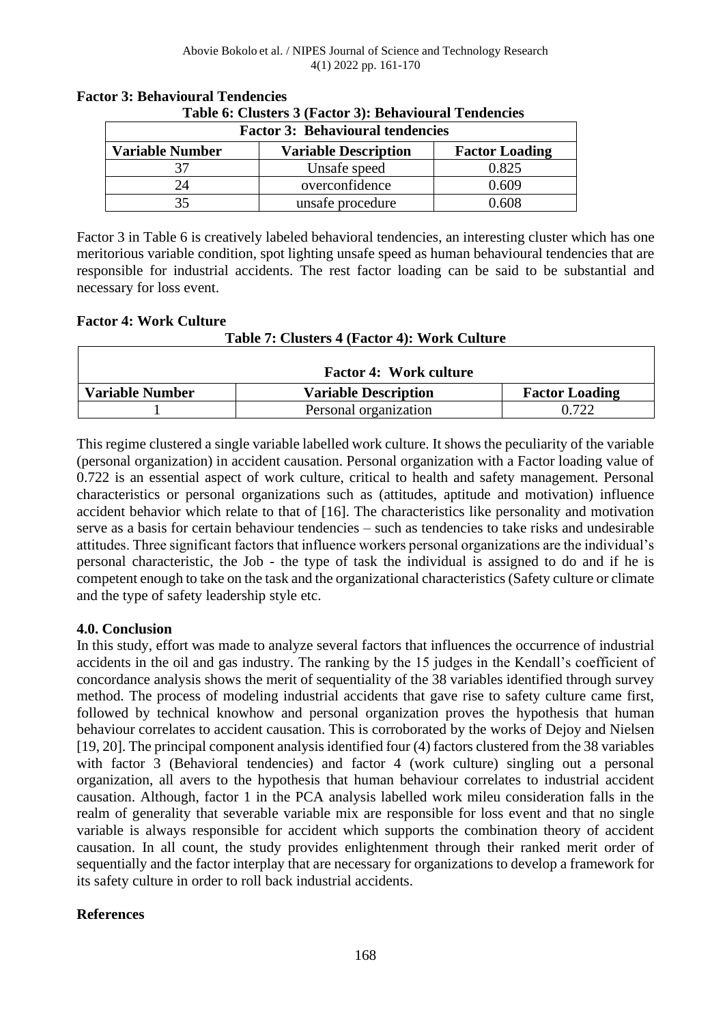| <b>Factor 3: Behavioural tendencies</b>                                        |                  |       |  |  |
|--------------------------------------------------------------------------------|------------------|-------|--|--|
| <b>Variable Number</b><br><b>Variable Description</b><br><b>Factor Loading</b> |                  |       |  |  |
| 37                                                                             | Unsafe speed     | 0.825 |  |  |
| 24                                                                             | overconfidence   | 0.609 |  |  |
| 35                                                                             | unsafe procedure | 0.608 |  |  |

#### **Factor 3: Behavioural Tendencies Table 6: Clusters 3 (Factor 3): Behavioural Tendencies**

Factor 3 in Table 6 is creatively labeled behavioral tendencies, an interesting cluster which has one meritorious variable condition, spot lighting unsafe speed as human behavioural tendencies that are responsible for industrial accidents. The rest factor loading can be said to be substantial and necessary for loss event.

#### **Factor 4: Work Culture**

Г

### **Table 7: Clusters 4 (Factor 4): Work Culture**

٦

| <b>Factor 4: Work culture</b> |                             |                       |
|-------------------------------|-----------------------------|-----------------------|
| Variable Number               | <b>Variable Description</b> | <b>Factor Loading</b> |
|                               | Personal organization       | ነ 722                 |

This regime clustered a single variable labelled work culture. It shows the peculiarity of the variable (personal organization) in accident causation. Personal organization with a Factor loading value of 0.722 is an essential aspect of work culture, critical to health and safety management. Personal characteristics or personal organizations such as (attitudes, aptitude and motivation) influence accident behavior which relate to that of [16]. The characteristics like personality and motivation serve as a basis for certain behaviour tendencies – such as tendencies to take risks and undesirable attitudes. Three significant factors that influence workers personal organizations are the individual's personal characteristic, the Job - the type of task the individual is assigned to do and if he is competent enough to take on the task and the organizational characteristics (Safety culture or climate and the type of safety leadership style etc.

#### **4.0. Conclusion**

In this study, effort was made to analyze several factors that influences the occurrence of industrial accidents in the oil and gas industry. The ranking by the 15 judges in the Kendall's coefficient of concordance analysis shows the merit of sequentiality of the 38 variables identified through survey method. The process of modeling industrial accidents that gave rise to safety culture came first, followed by technical knowhow and personal organization proves the hypothesis that human behaviour correlates to accident causation. This is corroborated by the works of Dejoy and Nielsen [19, 20]. The principal component analysis identified four (4) factors clustered from the 38 variables with factor 3 (Behavioral tendencies) and factor 4 (work culture) singling out a personal organization, all avers to the hypothesis that human behaviour correlates to industrial accident causation. Although, factor 1 in the PCA analysis labelled work mileu consideration falls in the realm of generality that severable variable mix are responsible for loss event and that no single variable is always responsible for accident which supports the combination theory of accident causation. In all count, the study provides enlightenment through their ranked merit order of sequentially and the factor interplay that are necessary for organizations to develop a framework for its safety culture in order to roll back industrial accidents.

#### **References**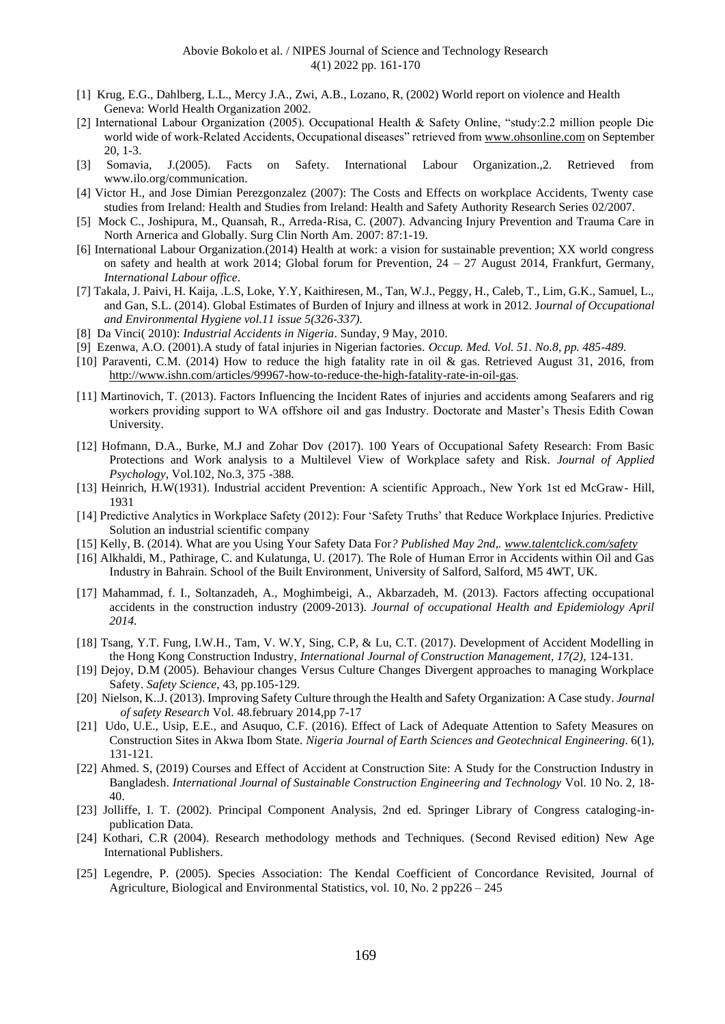- [1] Krug, E.G., Dahlberg, L.L., Mercy J.A., Zwi, A.B., Lozano, R, (2002) World report on violence and Health Geneva: World Health Organization 2002.
- [2] International Labour Organization (2005). Occupational Health & Safety Online, "study:2.2 million people Die world wide of work-Related Accidents, Occupational diseases" retrieved from [www.ohsonline.com](http://www.ohsonline.com/) on September 20, 1-3.
- [3] Somavia, J.(2005). Facts on Safety. International Labour Organization.,2. Retrieved from www.ilo.org/communication.
- [4] Victor H., and Jose Dimian Perezgonzalez (2007): The Costs and Effects on workplace Accidents, Twenty case studies from Ireland: Health and Studies from Ireland: Health and Safety Authority Research Series 02/2007.
- [5] Mock C., Joshipura, M., Quansah, R., Arreda-Risa, C. (2007). Advancing Injury Prevention and Trauma Care in North Arnerica and Globally. Surg Clin North Am. 2007: 87:1-19.
- [6] International Labour Organization.(2014) Health at work: a vision for sustainable prevention; XX world congress on safety and health at work 2014; Global forum for Prevention, 24 – 27 August 2014, Frankfurt, Germany, *International Labour office*.
- [7] Takala, J. Paivi, H. Kaija, .L.S, Loke, Y.Y, Kaithiresen, M., Tan, W.J., Peggy, H., Caleb, T., Lim, G.K., Samuel, L., and Gan, S.L. (2014). Global Estimates of Burden of Injury and illness at work in 2012. J*ournal of Occupational and Environmental Hygiene vol.11 issue 5(326-337).*
- [8] Da Vinci( 2010): *Industrial Accidents in Nigeria*. Sunday, 9 May, 2010.
- [9] Ezenwa, A.O. (2001).A study of fatal injuries in Nigerian factories. *Occup. Med. Vol. 51. No.8, pp. 485-489.*
- [10] Paraventi, C.M. (2014) How to reduce the high fatality rate in oil & gas. Retrieved August 31, 2016, from [http://www.ishn.com/articles/99967-how-to-reduce-the-high-fatality-rate-in-oil-gas.](http://www.ishn.com/articles/99967-how-to-reduce-the-high-fatality-rate-in-oil-gas)
- [11] Martinovich, T. (2013). Factors Influencing the Incident Rates of injuries and accidents among Seafarers and rig workers providing support to WA offshore oil and gas Industry. Doctorate and Master's Thesis Edith Cowan University.
- [12] Hofmann, D.A., Burke, M.J and Zohar Dov (2017). 100 Years of Occupational Safety Research: From Basic Protections and Work analysis to a Multilevel View of Workplace safety and Risk. *Journal of Applied Psychology*, Vol.102, No.3, 375 -388.
- [13] Heinrich, H.W(1931). Industrial accident Prevention: A scientific Approach., New York 1st ed McGraw- Hill, 1931
- [14] Predictive Analytics in Workplace Safety (2012): Four 'Safety Truths' that Reduce Workplace Injuries. Predictive Solution an industrial scientific company
- [15] Kelly, B. (2014). What are you Using Your Safety Data For*? Published May 2nd,[. www.talentclick.com/safety](http://www.talentclick.com/safety)*
- [16] Alkhaldi, M., Pathirage, C. and Kulatunga, U. (2017). The Role of Human Error in Accidents within Oil and Gas Industry in Bahrain. School of the Built Environment, University of Salford, Salford, M5 4WT, UK.
- [17] Mahammad, f. I., Soltanzadeh, A., Moghimbeigi, A., Akbarzadeh, M. (2013). Factors affecting occupational accidents in the construction industry (2009-2013). *Journal of occupational Health and Epidemiology April 2014.*
- [18] Tsang, Y.T. Fung, I.W.H., Tam, V. W.Y, Sing, C.P, & Lu, C.T. (2017). Development of Accident Modelling in the Hong Kong Construction Industry, *International Journal of Construction Management, 17(2),* 124-131.
- [19] Dejoy, D.M (2005). Behaviour changes Versus Culture Changes Divergent approaches to managing Workplace Safety. *Safety Science*, 43, pp.105-129.
- [20] Nielson, K..J. (2013). Improving Safety Culture through the Health and Safety Organization: A Case study. *Journal of safety Research* Vol. 48.february 2014,pp 7-17
- [21] Udo, U.E., Usip, E.E., and Asuquo, C.F. (2016). Effect of Lack of Adequate Attention to Safety Measures on Construction Sites in Akwa Ibom State. *Nigeria Journal of Earth Sciences and Geotechnical Engineering*. 6(1), 131-121.
- [22] Ahmed. S, (2019) Courses and Effect of Accident at Construction Site: A Study for the Construction Industry in Bangladesh. *International Journal of Sustainable Construction Engineering and Technology* Vol. 10 No. 2, 18- 40.
- [23] Jolliffe, I. T. (2002). Principal Component Analysis, 2nd ed. Springer Library of Congress cataloging-inpublication Data.
- [24] Kothari, C.R (2004). Research methodology methods and Techniques. (Second Revised edition) New Age International Publishers.
- [25] Legendre, P. (2005). Species Association: The Kendal Coefficient of Concordance Revisited, Journal of Agriculture, Biological and Environmental Statistics, vol. 10, No. 2 pp226 – 245